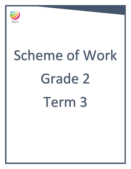

# Scheme of Work Grade 2 Term 3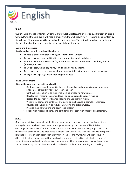

# **Unit 1**

Our first unit, 'Stories by famous writers' is a four-week unit focusing on stories by significant children's writers. During the unit, pupils will read extracts from the well-known story 'Treasure island' written by Robert Louis Stevenson and will plan and write their own story. This unit will draw together different strands of reading that pupils have been looking at during the year.

## **Aims and Objectives:**

## **By the end of the unit, pupils will be able to:**

- To read extracts from stories by significant children's writers.
- To begin to appreciate and identify some interesting words and phrase.
- To know that some answers are 'right there' in a text but others need to be thought about (inferred/deduced).
- To write a story with a beginning, a middle and a happy ending.
- To recognise and use sequencing phrases which establish the time an event takes place.
- To begin to use paragraphs to group together ideas.

## **Skills Development**

## **During the course of this unit, pupils will:**

- Continue to develop their familiarity with the spelling and pronunciation of long vowel phonemes, particularly /oi/, /ow/, /air/ and /eer/.
- Continue to use phonics as the prime method of reading new words.
- Develop their reading fluency and focus on punctuation to support reading.
- Respond to question words when reading and use them in writing.
- Write using compound sentences and begin to use because in complex sentences.
- Develop their vocabulary to include interesting and precise words.
- Practise their handwriting and begin to join letters.
- Speak with increased fluency and confidence and listen with improved engagement.

## **Unit 2**

Our second unit is a two-week unit looking at some poems and rhymes about familiar settings. During the unit, pupils will read poems and rhymes, some by poet, Jeanne Willis. This is to encourage an awareness of authors as well as personal opinions about reading. Pupils will discuss the contexts of the poems, develop associated ideas and vocabulary, read and then explore specific language features of each poem such as rhythm (syllables) and rhyme. We will then focus on different structures of poems and the pupils will study and create a Limerick which is a form of verse. Acting out and reciting elements of the poems is still to be encouraged to enable pupils to appreciate the rhythm and rhyme as well as to develop confidence in listening and speaking.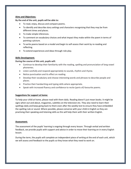#### **Aims and Objectives:**

**By the end of the unit, pupils will be able to:**

- To read, enjoy, discuss and compare poems.
- To identify and describe story settings and characters recognising that they may be from different times and places.
- To make simple inferences.
- To comment on vocabulary choices and what impact they make within the poem in terms of painting a picture.
- To write poems based on a model and begin to self-assess their work by re-reading and reflecting.
- To extend experiences and ideas through role play.

## **Skills Development:**

## **During the course of this unit, pupils will:**

- Continue to develop their familiarity with the reading, spelling and pronunciation of long vowel phonemes.
- Listen carefully and respond appropriately to sounds, rhythm and rhyme.
- Notice punctuation and its effect on reading.
- Develop their vocabulary and choose interesting words and phrases to describe people and places.
- Practice their handwriting and typing skills where appropriate.
- Speak with increased fluency and confidence to recite (parts of) favourite poems.

## **Suggestions for support at home:**

To help your child at home, please read with them daily. Reading doesn't just mean books. It might be signs when out and about, magazines, subtitles on the television etc. They also need to learn their spellings daily and keep going back to them even after the weekly test to ensure they have embedded the spelling rule or sound. Where possible, please converse with your child in English so they are practising their speaking and listening skills as this will help them with their written English.

#### **Assessment:**

The assessment of the pupils' learning is ongoing through every lesson. Through verbal and written feedback, we provide pupils with support and advice in order to move their learning on in every English lesson.

During the term, the pupils will complete an independent piece of writing at the end of each unit, which we will assess and feedback to the pupils so they know what they need to work on.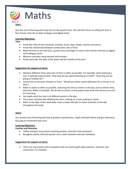

Our first unit of learning will recap time to the quarter hour. We will then focus on telling the time in five-minute intervals on both analogue and digital clocks.

## **Learning Objectives:**

**Time**

- Know the units of time (seconds, minutes, hours, days, weeks, months and years)
- Know the relationship between consecutive units of time.
- Read the time to the half hour, quarter hour and begin to read in five-minute intervals on digital and analogue clocks.
- Measure activities using seconds and minutes.
- Know and order the days of the week and the months of the year.

## **Suggestions for support at home:**

- Mention different times and units of time as often as possible. For example, when planning a trip, or getting ready for bed. 'How long do you spend cleaning your teeth?' 'How long are we going on holiday for?'
- Count time as seconds, minutes or hours. 'Would you rather watch television for a minute or an hour?
- Refer to clocks as often as possible, matching the time to events in the day, such as dinner time, bed time. Make a timetable. We do this at school, so the pupils know what time lessons are and for how long.
- Ask pupils what the time is at different points in the day.
- Time short activities like climbing the stairs, putting on a coat, putting on shoes.
- Refer to the days of the week daily. Have a week calendar to match activities to the day throughout the week.

## **Unit 2**

Our second unit of learning will look at position and direction. Pupils will both follow and give directions, focusing on movement and turns.

## **Learning Objectives:**

## **Position and Direction**

- Follow and give instructions involving position, direction and movement.
- Recognise whole, half and quarter turns, both clockwise and anti-clockwise.

## **Suggestions for support at home:**

 There are many board and card games that can teach pupils about position, direction and movement. For example: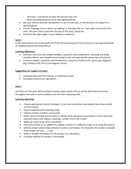- Direction the person on your left has the next turn.
- Move your playing piece to the left/right/up/down.
- Ask your child to describe the position of cars in a car park, or the direction of a player in a sporting game.
- Use the language of turn when out walking, or driving in the car. 'turn right at the end of the road'. Ask your child to describe the way to the shop, school etc.
- Find all of the right angles in your kitchen or bedroom.

#### **Unit 3**

In the third unit this term, the pupils will finish the measure part of the curriculum, focusing specifically on weight/capacity and temperature.

#### **Learning Objectives:**

- Estimate, measure and compare weights, capacities and temperature, choosing and using suitable uniform, non-standard and standard units and appropriate measuring instruments.
- **Compare weights, capacities and temperature using the standard units: grams (g), kilograms** (kg), millilitre (ml), litre (l) and degrees Celsius.

#### **Suggestions for support at home:**

- Let pupils help with the cooking, or preparing a meal.
- Let pupils measure out ingredients.

#### **Unit 4**

Our final unit this year will be problem solving, where pupils will use all the skills they have learnt throughout the year to solve problems and use their reasoning skills.

#### **Learning objectives**

- Choose appropriate mental strategies to carry out calculations and explain how they worked out the answer.
- Explain methods and reasoning orally.
- Explore number problems and puzzles.
- Make sense of simple word problems, decide what operations are needed to solve them and represent them with objects, drawings, number line or bar model.
- Make up a story to go with a calculation.
- Check the answer to an addition by adding numbers in a different order or by using the inverse.
- Identify simple relationships between numbers and shapes. For example, this number is double, these shapes all have sides.
- Make a sensible estimation for the answer to a calculation.
- Consider whether an answer is reasonable.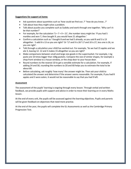#### **Suggestions for support at home:**

- Ask questions about quantities such as 'how could we find out..?' 'how do you know…?'
- Talk about how they might solve a problem.
- Talk about puzzles you complete such as Sudoku and work through one together. 'Why can't it be that number?'
- For example, for the calculation '5 + 7 + 9 = 21', the number story might be: 'If you had 5 marbles and won 7, then bought 9, you would have 21 altogether.'
- Confirm a calculation such as 'I bought 8 and we had 5 already, so you said 8 and 5 is 13 altogether. 5 add 8 is 13 so you are right!' Or '17 and 9 is 26? 17 and 10 is 27, less one is 26, so you are right'.
- Talk through a calculation your child has worked out. For example, 'So we had 15 apples and we ate 3, leaving 12. 12 and 3 makes 15 altogether so you are right!'
- Make comparisons between small and large size goods in the supermarket. For example, 1 kg packs are 10 times bigger than 100g packets. Compare the size of similar shapes, for example a shop front window to a house window, or the shop door to your house door.
- Round numbers to the nearest 10 to get a sensible estimate for a calculation. For example, if adding 24 and 58, rounding the numbers to 20 and 60 helps you to estimate the total to be about 80.
- Before calculating, ask roughly 'how many' the answer might be. Then ask your child to calculated the answer and determine if the answer seems reasonable. For example, if you had 8 apples and 3 were eaten, it would not be reasonable to say that you had 9 left.

## **Assessment**

The assessment of the pupils' learning is ongoing through every lesson. Through verbal and written feedback, we provide pupils with support and advice in order to move their learning on in every Maths lesson.

At the end of every unit, the pupils will be assessed against the learning objectives. Pupils and parents will be given feedback on objectives that need more practise.

At the end of the year, the pupils will complete the GL Assessments as well as the Cambridge Primary Progression Test.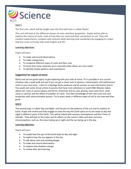

# **Unit 1**

The first unit, which will be taught over the first half term is called 'Rocks'.

This unit will look at the different classes of rocks and their properties. Pupils will be able to explore the nature of rocks, look at how they are used and their connection to soil. They will conduct experiments, compare and contrast while learning new vocabulary by engaging in a topic that has cross curricular links with English and IPC.

## **Learning objectives**

Pupils will learn:

- To make and record observations
- To make comparisons
- To recognise different types of rocks and their uses
- To know that some materials occur naturally while others are man-made
- To identify simple patterns and associations

#### **Suggestions for support at home:**

Rocks and soil are great topics to get exploring with your kids at home. If it is possible in our current situation take a wadi walk and see if you can get a closer look at igneous, metamorphic and sedimentary rocks in your local area. Listen to a Geology Rocks podcasts and do quizzes on new information learnt. You could visit some virtual online museums that have rock collections or watch BBC Bitesize videos about soil, rocks in various places and forms, limestone and its uses, granite, how caves form, what stone is used for and the effect of weather on rocks. Test their knowledge of the rock cycle and rock properties with some printable quizzes. Try to plant seeds in different types of soil to see how well they grow.

## **Unit 2**

The second topic is called 'Day and Night' and focuses on the patterns of the sun and its relation to Earth. Pupils will review and fully engage on how the way the Earth spins on its axis leads to day and night in different parts of the Earth. This will be linked with seasons, hemispheres and the 5 lines of latitude. They will look at the moon and its effects on the ocean's tides and clear common misconceptions, such as, the moon being up at night and the sun being up in the day.

#### **Learning objectives**

Pupils will learn:

- To model how the spin of the Earth leads to day and night
- To explore how the sun appears in the day
- To talk about risks and avoiding danger
- To make and record observations
- To explore how shadows change
- To review their own learning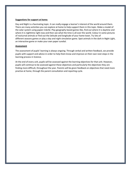#### **Suggestions for support at home:**

Day and Night is a fascinating topic. It can really engage a learner's interest of the world around them. There are many activities you can explore at home to help support them in this topic. Make a model of the solar system using papier-mâché. Play geography based games like, find out where it is [daytime](https://www.timeanddate.com/worldclock/sunearth.html) and where it is [nighttime](https://www.timeanddate.com/worldclock/sunearth.html) right now and then see what the time is all over the [world.](https://www.worldtimezone.com/) Colour in some pictures of [nocturnal](https://assets.toucanbox.com/pdfs/nocturnal-animals-colouring/nocturnal-animals-colouring.pdf) animals or find out the latitude and [longitude](https://www.latlong.net/) of your home town. Try lots of different [seasons](https://www.sheppardsoftware.com/scienceforkids/seasons/seasons.htm) games or play a day and night [simulation](https://www.childrensuniversity.manchester.ac.uk/learning-activities/science/the-earth-and-beyond/day-and-night/) game. Spot [animals](http://www.peepandthebigwideworld.com/en/kids/games/html5/1/night-light/) in the dark in Night Light, an interactive game or make your own paper [sundial.](https://creativepark.canon/en/contents/CNT-0010856/index.html)

#### **Assessment**

The assessment of pupils' learning is always ongoing. Through verbal and written feedback, we provide pupils with support and advice in order to help them know and improve on their own next steps in the learning process in Science.

At the end of every unit, pupils will be assessed against the learning objectives for that unit. However, pupils will continue to be assessed against these objectives and particularly the objectives they are finding more difficult, throughout the year. Parents will be given feedback on objectives that need more practise at home, through the parent consultation and reporting cycle.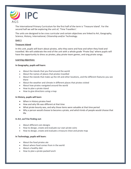

The International Primary Curriculum for the first half of the term is 'Treasure Island'. For the second half we will be exploring the unit of, 'Time Travellers'.

The units are designed to be cross curricular and certain objectives are linked to Art, Geography, Science, History, International, Citizenship and/or Technology.

# **Unit 1**

## **Treasure Island**

In this unit, pupils will learn about pirates, who they were and how and when they lived and travelled. We will celebrate the end of the unit with a whole grade 'Pirate Day' where pupils will have the opportunity to dress as pirates, play pirate team games, and sing pirate songs.

## **Learning objectives:**

#### **In Geography, pupils will learn:**

- About the islands that you find around the world
- About the names of places that pirates travelled
- About the islands that make up the UK and other locations, and the different features you see there
- About the weather and climate in different places that pirates visited
- About how pirates navigated around the world
- How to plan a pirate island
- How to give directions using a map

## **In History, pupils will learn**

- When in History pirates lived
- How and why life was different at that time
- What pirate bounty was, and why those items were valuable at that time period
- Why a person would choose to become a pirate, and which kinds of people would choose that life

## **In Art, we'll be finding out:**

- About different coin designs
- How to design, create and evaluate our own pirate coins
- How to design, create and evaluate a treasure chest and pirate map

## **In Technology, pupils will learn:**

- About the food pirates ate
- About where food comes from in the world
- About a healthy diet
- How to plan a pirate packed lunch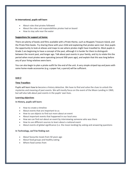#### **In International, pupils will learn**

- About rules that pirates followed
- About the roles and responsibilities pirates had on board
- How to stay safe near the water

#### **Suggestions for support at home:**

There are plenty of books and films available with a Pirate theme, such as Muppets Treasure Island, and the Pirate Pete books. Try sharing these with your child and explaining that pirates were real. Give pupils the opportunity to look at atlases and maps to see where pirates might have travelled to. Most pupils in Grade 2 are beginning to have a concept of the past, although it is harder for them to distinguish between the recent past, and longer ago. Talk about past events in your family, and try to relate this the period when most pirates were operating (around 300 years ago), and explain that this was long before any of your living relatives were born.

You can also begin to plan a pirate outfit for the end of the unit. A very simple striped top and jeans with some home-made accessories (e.g. a paper hat, a parrot) will be sufficient.

#### **Unit 2**

#### **Time Travellers**

Pupils will learn how to become a history detective. We have to find and solve the clues to unlock the mysteries and meaning of past events. We will mostly focus on the event of the Moon Landing in 1969, but will also talk about past events in the pupils' own lives.

#### **Learning objectives**

#### **In History, pupils will learn:**

- How to create a timeline
- About events that are important to us
- How to use objects to find out more about an event
- About important events that happened in our local area
- How we can find out about an event by interviewing someone who was there
- How to use different sources to learn about a national event
- About events of global significance (i.e. the moon landing) by asking and answering questions

#### **In Technology, we'll be finding out:**

- About favourite meals from 50 years ago
- About food groups and healthy eating
- Where food comes from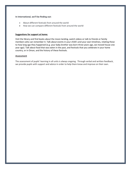#### **In International, we'll be finding out:**

- About different festivals from around the world
- How we can compare different festivals from around the world

#### **Suggestions for support at home:**

Visit the library and find books about the moon landing, watch videos or talk to friends or family members who can remember it. Talk about events in your child's and your own timelines, relating these to how long ago they happened (e.g. your baby brother was born three years ago, we moved house one year ago). Talk about food that was eaten in the past, and festivals that you celebrate in your home country, or in Oman, and the history of these festivals.

#### **Assessment**

The assessment of pupils' learning in all units is always ongoing. Through verbal and written feedback, we provide pupils with support and advice in order to help them know and improve on their own.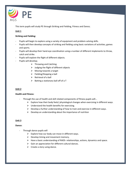

This term pupils will study PE through Striking and Fielding, Fitness and Dance;

# **Unit 1**

## **Striking and Fielding:**

- Pupils will begin to explore using a variety of equipment and problem-solving skills.
- Pupils will then develop concepts of striking and fielding using basic variations of activities, games and sports.
- Pupils will develop their hand-eye coordination using a number of different implements to throw, catch and strike.
- Pupils will explore the flight of different objects.
- Pupils will develop;
	- $\triangleright$  Throwing and Catching
	- $\triangleright$  Judging the flight of different objects
	- $\triangleright$  Moving towards a target
	- $\triangleright$  Fielding/Stopping a ball
	- $\triangleright$  Retrieval of a ball
	- $\triangleright$  Batting a stationary ball off of a T

# **Unit 2**

## **Health and Fitness:**

- Through the use of health and skill related components of fitness pupils will...
	- $\triangleright$  Explore how their body feels/ physiological changes when exercising in different ways.
	- $\triangleright$  Understand the health benefits for exercising.
	- $\triangleright$  Develop a further understanding of how to train and exercise in different ways.
	- $\triangleright$  Develop an understanding about the importance of nutrition

## **Unit 3**

## **Dance:**

- Through dance pupils will
	- $\triangleright$  Explore how our body can move in different ways.
	- $\triangleright$  Develop timing and movement memory.
	- $\triangleright$  Have a basic understanding of RADS- relationships, actions, dynamics and space.
	- $\triangleright$  Gain an appreciation for different cultural dances.
	- $\triangleright$  Create a story using dance.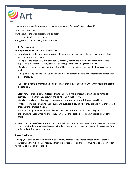

This term the students of grade 2 will commence a new IPC Topic "Treasure Island".

# **Aims and Objectives:**

**By the end of the unit, students will be able to:**

- **-** Use a variety of materials and processes.
- **-** Suggest ways of improving their own work.

## **Skills Development**

## **During the course of this unit, students will:**

 **Learn how to design and make a pirate coin:** pupils will design and make their own pirate coins from salt dough, glue gun or wax.

- Using a range of sources, including books, internet, images and a previously made coin collage, pupils will experiment sketching different designs, patterns and images for their coins.

- Pupils will consider the fact that the coins will be small, so patterns and simple designs will work well.

- The pupils can paint the coins using a mix of metallic paint and a glue-and-water mix to create class pirate treasure.

Pupils could make more than one-coin design, so that they can evaluate which they feel is the best for a pirate coin.

- **Learn how to make a pirate treasure chest:** Pupils will make a treasure chest using a range of techniques, some that they know of and some that might be new.
	- Pupils will make a simple design of a treasure chest using a recycled shoe or cereal box.

- After creating their treasure chest, pupils will evaluate it, saying what they like and what they would change if they created it again.

-On a small strip of paper, pupils will write down the items they would like to keep in their treasure chest. When finished, they can roll up the list like a scroll and stick it to a part of the chest.

 **How to make Pirate's costume:** Students will follow a step-by-step video to make a homemade pirate costume with the simple vest designed with skull, pant and all accessories (eyepatch, pirate hat, Prop knife and artificial metallic hand.).

## **Support at home:**

To help your child enrich their artistic lives at home, parents can support by creating more artistic activities with their child and encourage them to practice more on the lesson we have covered in order to maximize the quality of their skills.